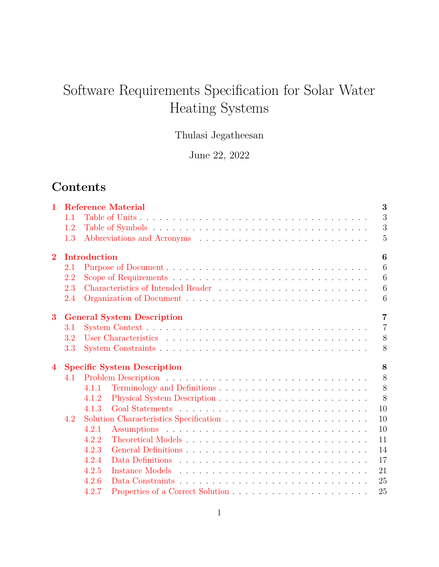# Software Requirements Specification for Solar Water Heating Systems

# Thulasi Jegatheesan

June 22, 2022

# **Contents**

| $\mathbf{1}$   |     |              | <b>Reference Material</b>          | 3              |
|----------------|-----|--------------|------------------------------------|----------------|
|                | 1.1 |              |                                    | 3              |
|                | 1.2 |              |                                    | 3              |
|                | 1.3 |              |                                    | $\overline{5}$ |
| $\overline{2}$ |     | Introduction |                                    | 6              |
|                | 2.1 |              |                                    | 6              |
|                | 2.2 |              |                                    | 6              |
|                | 2.3 |              |                                    | 6              |
|                | 2.4 |              |                                    | 6              |
| 3              |     |              | <b>General System Description</b>  | $\overline{7}$ |
|                | 3.1 |              |                                    | $\overline{7}$ |
|                | 3.2 |              |                                    | 8              |
|                | 3.3 |              |                                    | 8              |
| $\bf 4$        |     |              | <b>Specific System Description</b> | 8              |
|                | 4.1 |              |                                    | 8              |
|                |     | 4.1.1        |                                    | 8              |
|                |     | 4.1.2        |                                    | 8              |
|                |     | 4.1.3        |                                    | 10             |
|                | 4.2 |              |                                    | 10             |
|                |     | 4.2.1        |                                    | 10             |
|                |     | 4.2.2        |                                    | 11             |
|                |     | 4.2.3        |                                    | 14             |
|                |     | 4.2.4        |                                    | 17             |
|                |     | 4.2.5        |                                    | 21             |
|                |     | 4.2.6        |                                    | 25             |
|                |     | 4.2.7        |                                    | 25             |
|                |     |              |                                    |                |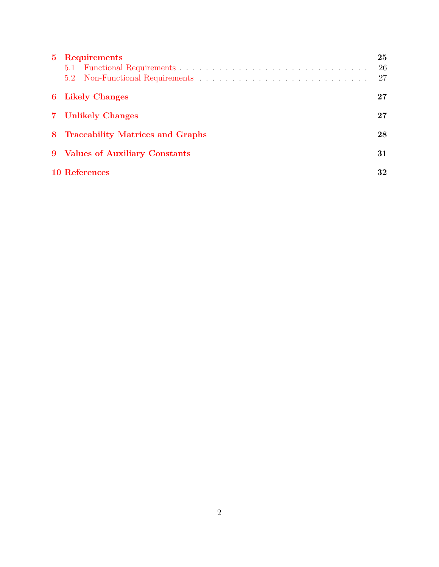| $5 -$ | <b>Requirements</b>                      | 25<br>26<br>27 |
|-------|------------------------------------------|----------------|
|       | <b>6</b> Likely Changes                  | 27             |
|       | 7 Unlikely Changes                       | 27             |
|       | 28<br>8 Traceability Matrices and Graphs |                |
|       | 9 Values of Auxiliary Constants<br>31    |                |
|       | 10 References                            | 32             |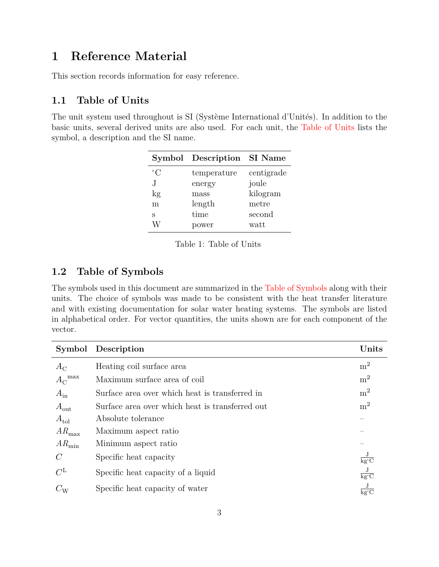# <span id="page-2-0"></span>**1 Reference Material**

This section records information for easy reference.

## <span id="page-2-1"></span>**1.1 Table of Units**

<span id="page-2-3"></span>The unit system used throughout is SI (Système International d'Unités). In addition to the basic units, several derived units are also used. For each unit, the [Table of Units](#page-2-3) lists the symbol, a description and the SI name.

|             | Symbol Description SI Name |            |
|-------------|----------------------------|------------|
| $^{\circ}C$ | temperature                | centigrade |
| J.          | energy                     | joule      |
| kg          | mass                       | kilogram   |
| m           | length                     | metre      |
| S           | time                       | second     |
|             | ower                       | watt       |

Table 1: Table of Units

## <span id="page-2-2"></span>**1.2 Table of Symbols**

The symbols used in this document are summarized in the [Table of Symbols](#page-2-4) along with their units. The choice of symbols was made to be consistent with the heat transfer literature and with existing documentation for solar water heating systems. The symbols are listed in alphabetical order. For vector quantities, the units shown are for each component of the vector.

<span id="page-2-4"></span>

|                         | Symbol Description                              | Units                                        |
|-------------------------|-------------------------------------------------|----------------------------------------------|
| $A_{\rm C}$             | Heating coil surface area                       | m <sup>2</sup>                               |
| ${A_{\rm C}}^{\rm max}$ | Maximum surface area of coil                    | m <sup>2</sup>                               |
| $A_{\rm in}$            | Surface area over which heat is transferred in  | $\mathrm{m}^2$                               |
| $A_{\text{out}}$        | Surface area over which heat is transferred out | m <sup>2</sup>                               |
| $A_{\text{tol}}$        | Absolute tolerance                              |                                              |
| $AR_{\rm max}$          | Maximum aspect ratio                            |                                              |
| $AR_{\text{min}}$       | Minimum aspect ratio                            |                                              |
| $\mathcal C$            | Specific heat capacity                          | $\overline{\text{kg}^{\circ}\text{C}}$       |
| $C^{\text{L}}$          | Specific heat capacity of a liquid              | $\frac{\text{J}}{\text{kg}^{\circ}\text{C}}$ |
| $C_{\rm W}$             | Specific heat capacity of water                 | $\overline{\text{kg}^{\circ}\text{C}}$       |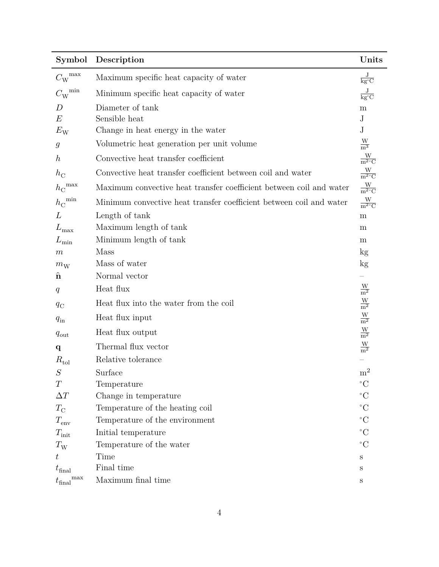| Symbol                                                    | Description                                                         | Units                                        |
|-----------------------------------------------------------|---------------------------------------------------------------------|----------------------------------------------|
| ${C_{\mathrm{W}}}^{\mathrm{max}}$                         | Maximum specific heat capacity of water                             | $\frac{\text{J}}{\text{kg}^{\circ}\text{C}}$ |
| ${C_{\mathrm{W}}}^{\mathrm{min}}$                         | Minimum specific heat capacity of water                             | $\frac{\text{J}}{\text{kg}^{\circ}\text{C}}$ |
| D                                                         | Diameter of tank                                                    | m                                            |
| E                                                         | Sensible heat                                                       | $_{\rm J}$                                   |
| $E_{\rm W}$                                               | Change in heat energy in the water                                  | $\mathbf{J}$                                 |
| $\mathcal{G}% _{M_{1},M_{2}}^{\alpha,\beta}(\varepsilon)$ | Volumetric heat generation per unit volume                          | $\frac{W}{m^3}$                              |
| $\boldsymbol{h}$                                          | Convective heat transfer coefficient                                | $\frac{W}{m^2 C}$                            |
| $h_{\rm C}$                                               | Convective heat transfer coefficient between coil and water         | $\frac{W}{m^2 C}$                            |
| ${h_{\rm C}}^{\rm max}$                                   | Maximum convective heat transfer coefficient between coil and water | $\frac{W}{m^2 C}$                            |
| $h_{\rm C}^{\rm \ min}$                                   | Minimum convective heat transfer coefficient between coil and water | $\frac{W}{m^2 C}$                            |
| L                                                         | Length of tank                                                      | ${\bf m}$                                    |
| $L_{\rm max}$                                             | Maximum length of tank                                              | m                                            |
| $L_{\rm min}$                                             | Minimum length of tank                                              | m                                            |
| $\boldsymbol{m}$                                          | Mass                                                                | $\mathrm{kg}$                                |
| $m_{\rm W}$                                               | Mass of water                                                       | $\mathrm{kg}$                                |
| $\hat{\mathbf{n}}$                                        | Normal vector                                                       |                                              |
| q                                                         | Heat flux                                                           | $\frac{\text{W}}{\text{m}^2}$                |
| $q_{\rm C}$                                               | Heat flux into the water from the coil                              | $\frac{\text{W}}{\text{m}^2}$                |
| $q_{\rm in}$                                              | Heat flux input                                                     | $\frac{\text{W}}{\text{m}^2}$                |
| $q_{\text{out}}$                                          | Heat flux output                                                    | $\frac{\text{W}}{\text{m}^2}$                |
| $\mathbf{q}$                                              | Thermal flux vector                                                 | $\frac{W}{m^2}$                              |
| $R_{\rm tol}$                                             | Relative tolerance                                                  |                                              |
| $\cal S$                                                  | Surface                                                             | m <sup>2</sup>                               |
| T                                                         | Temperature                                                         | $\rm ^{\circ}C$                              |
| $\Delta T$                                                | Change in temperature                                               | $\rm ^{\circ}C$                              |
| $T_{\rm C}$                                               | Temperature of the heating coil                                     | $\rm ^{\circ}C$                              |
| $T_{\rm env}$                                             | Temperature of the environment                                      | $\rm ^{\circ}C$                              |
| $T_{\text{init}}$                                         | Initial temperature                                                 | $^{\circ}C$                                  |
| $T_{\rm W}$                                               | Temperature of the water                                            | $\rm ^{\circ}C$                              |
| $t\,$                                                     | Time                                                                | $\mathbf S$                                  |
| $t_{\rm final}$                                           | Final time                                                          | S                                            |
| $t_{\rm final}{}^{\rm max}$                               | Maximum final time                                                  | $\rm S$                                      |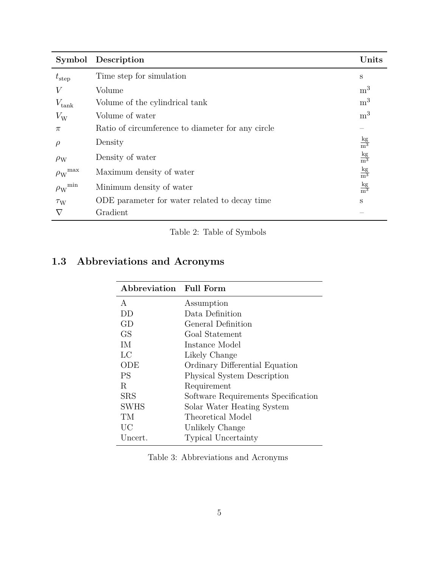| Symbol                           | Description                                       | Units                          |
|----------------------------------|---------------------------------------------------|--------------------------------|
| $t_{\rm step}$                   | Time step for simulation                          | S                              |
| V                                | Volume                                            | m <sup>3</sup>                 |
| $V_{\text{tank}}$                | Volume of the cylindrical tank                    | m <sup>3</sup>                 |
| $V_{\rm W}$                      | Volume of water                                   | m <sup>3</sup>                 |
| $\pi$                            | Ratio of circumference to diameter for any circle |                                |
| $\rho$                           | Density                                           | $\frac{\text{kg}}{\text{m}^3}$ |
| $\rho_{\rm W}$                   | Density of water                                  | $\frac{\text{kg}}{\text{m}^3}$ |
| ${\rho_{\text{W}}}^{\text{max}}$ | Maximum density of water                          | $\frac{\text{kg}}{\text{m}^3}$ |
| ${\rho_{\text{W}}}^{\text{min}}$ | Minimum density of water                          | $\frac{\text{kg}}{\text{m}^3}$ |
| $\tau_{\rm W}$                   | ODE parameter for water related to decay time     | S                              |
| $\nabla$                         | Gradient                                          |                                |

# Table 2: Table of Symbols

# <span id="page-4-0"></span>**1.3 Abbreviations and Acronyms**

| Abbreviation Full Form |                                     |
|------------------------|-------------------------------------|
| A                      | Assumption                          |
| DD                     | Data Definition                     |
| GD                     | General Definition                  |
| GS                     | Goal Statement                      |
| ΙM                     | Instance Model                      |
| LC                     | Likely Change                       |
| ODE                    | Ordinary Differential Equation      |
| <b>PS</b>              | Physical System Description         |
| R                      | Requirement                         |
| <b>SRS</b>             | Software Requirements Specification |
| <b>SWHS</b>            | Solar Water Heating System          |
| TМ                     | Theoretical Model                   |
| <b>UC</b>              | Unlikely Change                     |
| Uncert.                | <b>Typical Uncertainty</b>          |

Table 3: Abbreviations and Acronyms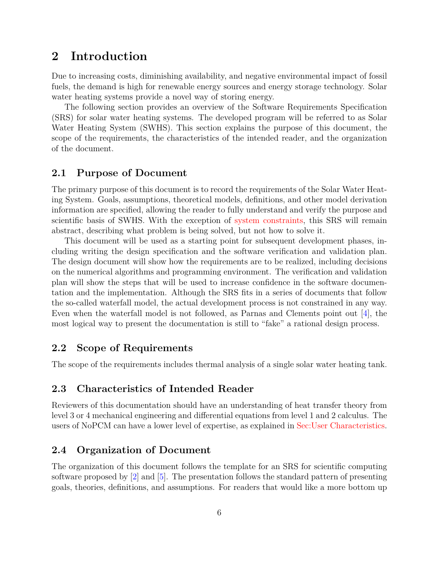# <span id="page-5-0"></span>**2 Introduction**

Due to increasing costs, diminishing availability, and negative environmental impact of fossil fuels, the demand is high for renewable energy sources and energy storage technology. Solar water heating systems provide a novel way of storing energy.

The following section provides an overview of the Software Requirements Specification (SRS) for solar water heating systems. The developed program will be referred to as Solar Water Heating System (SWHS). This section explains the purpose of this document, the scope of the requirements, the characteristics of the intended reader, and the organization of the document.

## <span id="page-5-1"></span>**2.1 Purpose of Document**

The primary purpose of this document is to record the requirements of the Solar Water Heating System. Goals, assumptions, theoretical models, definitions, and other model derivation information are specified, allowing the reader to fully understand and verify the purpose and scientific basis of SWHS. With the exception of [system constraints,](#page-7-1) this SRS will remain abstract, describing what problem is being solved, but not how to solve it.

This document will be used as a starting point for subsequent development phases, including writing the design specification and the software verification and validation plan. The design document will show how the requirements are to be realized, including decisions on the numerical algorithms and programming environment. The verification and validation plan will show the steps that will be used to increase confidence in the software documentation and the implementation. Although the SRS fits in a series of documents that follow the so-called waterfall model, the actual development process is not constrained in any way. Even when the waterfall model is not followed, as Parnas and Clements point out  $[4]$ , the most logical way to present the documentation is still to "fake" a rational design process.

## <span id="page-5-2"></span>**2.2 Scope of Requirements**

The scope of the requirements includes thermal analysis of a single solar water heating tank.

## <span id="page-5-3"></span>**2.3 Characteristics of Intended Reader**

Reviewers of this documentation should have an understanding of heat transfer theory from level 3 or 4 mechanical engineering and differential equations from level 1 and 2 calculus. The users of NoPCM can have a lower level of expertise, as explained in [Sec:User Characteristics.](#page-7-0)

## <span id="page-5-4"></span>**2.4 Organization of Document**

The organization of this document follows the template for an SRS for scientific computing software proposed by  $[2]$  and  $[5]$ . The presentation follows the standard pattern of presenting goals, theories, definitions, and assumptions. For readers that would like a more bottom up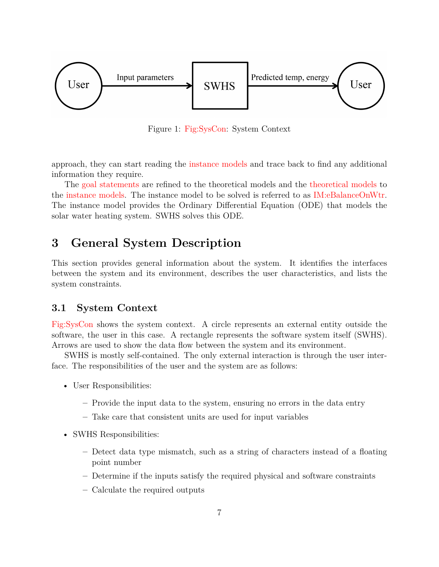<span id="page-6-2"></span>

Figure 1: [Fig:SysCon:](#page-6-2) System Context

approach, they can start reading the [instance models](#page-20-0) and trace back to find any additional information they require.

The [goal statements](#page-9-0) are refined to the theoretical models and the [theoretical models](#page-10-0) to the [instance models.](#page-20-0) The instance model to be solved is referred to as [IM:eBalanceOnWtr.](#page-21-0) The instance model provides the Ordinary Differential Equation (ODE) that models the solar water heating system. SWHS solves this ODE.

# <span id="page-6-0"></span>**3 General System Description**

This section provides general information about the system. It identifies the interfaces between the system and its environment, describes the user characteristics, and lists the system constraints.

### <span id="page-6-1"></span>**3.1 System Context**

[Fig:SysCon](#page-6-2) shows the system context. A circle represents an external entity outside the software, the user in this case. A rectangle represents the software system itself (SWHS). Arrows are used to show the data flow between the system and its environment.

SWHS is mostly self-contained. The only external interaction is through the user interface. The responsibilities of the user and the system are as follows:

- User Responsibilities:
	- **–** Provide the input data to the system, ensuring no errors in the data entry
	- **–** Take care that consistent units are used for input variables
- SWHS Responsibilities:
	- **–** Detect data type mismatch, such as a string of characters instead of a floating point number
	- **–** Determine if the inputs satisfy the required physical and software constraints
	- **–** Calculate the required outputs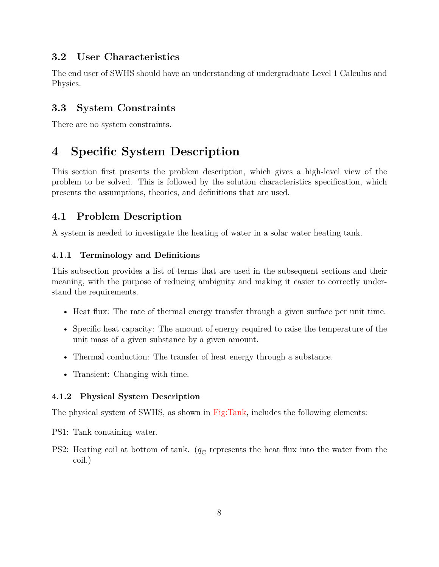## <span id="page-7-0"></span>**3.2 User Characteristics**

The end user of SWHS should have an understanding of undergraduate Level 1 Calculus and Physics.

## <span id="page-7-1"></span>**3.3 System Constraints**

There are no system constraints.

# <span id="page-7-2"></span>**4 Specific System Description**

This section first presents the problem description, which gives a high-level view of the problem to be solved. This is followed by the solution characteristics specification, which presents the assumptions, theories, and definitions that are used.

## <span id="page-7-3"></span>**4.1 Problem Description**

A system is needed to investigate the heating of water in a solar water heating tank.

## <span id="page-7-4"></span>**4.1.1 Terminology and Definitions**

This subsection provides a list of terms that are used in the subsequent sections and their meaning, with the purpose of reducing ambiguity and making it easier to correctly understand the requirements.

- Heat flux: The rate of thermal energy transfer through a given surface per unit time.
- Specific heat capacity: The amount of energy required to raise the temperature of the unit mass of a given substance by a given amount.
- Thermal conduction: The transfer of heat energy through a substance.
- Transient: Changing with time.

## <span id="page-7-5"></span>**4.1.2 Physical System Description**

The physical system of SWHS, as shown in [Fig:Tank,](#page-8-0) includes the following elements:

PS1: Tank containing water.

PS2: Heating coil at bottom of tank.  $(q_C)$  represents the heat flux into the water from the coil.)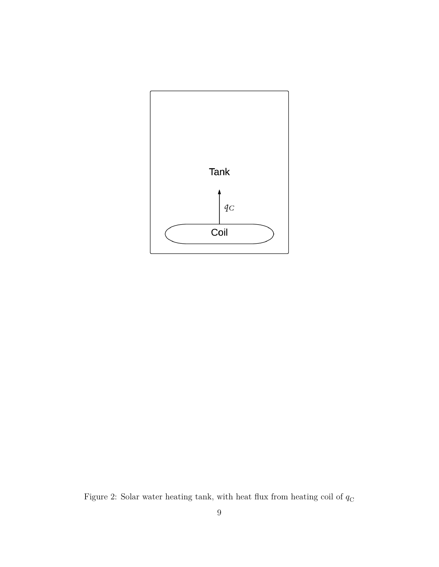<span id="page-8-0"></span>

Figure 2: Solar water heating tank, with heat flux from heating coil of  $q_{\rm C}$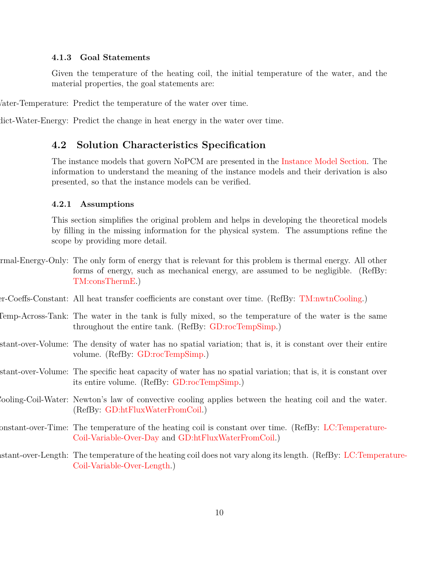#### <span id="page-9-0"></span>**4.1.3 Goal Statements**

<span id="page-9-10"></span>Given the temperature of the heating coil, the initial temperature of the water, and the material properties, the goal statements are:

Vater-Temperature: Predict the temperature of the water over time.

dict-Water-Energy: Predict the change in heat energy in the water over time.

### <span id="page-9-11"></span><span id="page-9-1"></span>**4.2 Solution Characteristics Specification**

The instance models that govern NoPCM are presented in the [Instance Model Section.](#page-20-0) The information to understand the meaning of the instance models and their derivation is also presented, so that the instance models can be verified.

#### <span id="page-9-2"></span>**4.2.1 Assumptions**

<span id="page-9-3"></span>This section simplifies the original problem and helps in developing the theoretical models by filling in the missing information for the physical system. The assumptions refine the scope by providing more detail.

- rmal-Energy-Only: The only form of energy that is relevant for this problem is thermal energy. All other forms of energy, such as mechanical energy, are assumed to be negligible. (RefBy: [TM:consThermE.](#page-11-0))
- <span id="page-9-4"></span>er-Coeffs-Constant: All heat transfer coefficients are constant over time. (RefBy: [TM:nwtnCooling.](#page-13-1))
- <span id="page-9-5"></span>Comp-Across-Tank: The water in the tank is fully mixed, so the temperature of the water is the same throughout the entire tank. (RefBy: [GD:rocTempSimp.](#page-14-0))
- <span id="page-9-6"></span>stant-over-Volume: The density of water has no spatial variation; that is, it is constant over their entire volume. (RefBy: [GD:rocTempSimp.](#page-14-0))
- <span id="page-9-7"></span>stant-over-Volume: The specific heat capacity of water has no spatial variation; that is, it is constant over its entire volume. (RefBy: [GD:rocTempSimp.](#page-14-0))
- <span id="page-9-8"></span>Newton-Law-Convective-Cooling-Coil-Water: Newton's law of convective cooling applies between the heating coil and the water. (RefBy: [GD:htFluxWaterFromCoil.](#page-16-1))
- <span id="page-9-9"></span>onstant-over-Time: The temperature of the heating coil is constant over time. (RefBy: [LC:Temperature-](#page-26-3)[Coil-Variable-Over-Day](#page-26-3) and [GD:htFluxWaterFromCoil.](#page-16-1))
- <span id="page-9-12"></span>istant-over-Length: The temperature of the heating coil does not vary along its length. (RefBy: [LC:Tempera](#page-26-4)ture-[Coil-Variable-Over-Length.](#page-26-4))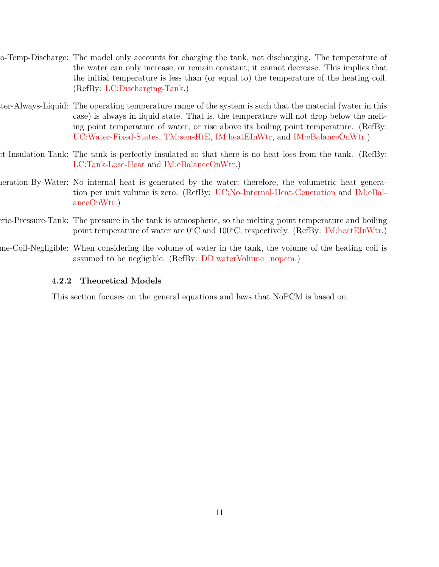- <span id="page-10-6"></span>Charging-Tank-No-Temp-Discharge: The model only accounts for charging the tank, not discharging. The temperature of the water can only increase, or remain constant; it cannot decrease. This implies that the initial temperature is less than (or equal to) the temperature of the heating coil. (RefBy: [LC:Discharging-Tank.](#page-26-5))
- <span id="page-10-1"></span>ter-Always-Liquid: The operating temperature range of the system is such that the material (water in this case) is always in liquid state. That is, the temperature will not drop below the melting point temperature of water, or rise above its boiling point temperature. (RefBy: [UC:Water-Fixed-States,](#page-26-6) [TM:sensHtE,](#page-12-0) [IM:heatEInWtr,](#page-23-0) and [IM:eBalanceOnWtr.](#page-21-0))
- <span id="page-10-3"></span>Perfect-Insulation-Tank: The tank is perfectly insulated so that there is no heat loss from the tank. (RefBy: [LC:Tank-Lose-Heat](#page-26-7) and [IM:eBalanceOnWtr.](#page-21-0))
- <span id="page-10-4"></span>notation-By-Water: No internal heat is generated by the water; therefore, the volumetric heat generation per unit volume is zero. (RefBy: [UC:No-Internal-Heat-Generation](#page-26-8) and [IM:eBal](#page-21-0)[anceOnWtr.](#page-21-0))
- Atmospheric-Pressure-Tank: The pressure in the tank is atmospheric, so the melting point temperature and boiling point temperature of water are 0<sup>∘</sup>C and 100<sup>∘</sup>C, respectively. (RefBy: [IM:heatEInWtr.](#page-23-0))
- me-Coil-Negligible: When considering the volume of water in the tank, the volume of the heating coil is assumed to be negligible. (RefBy: [DD:waterVolume\\_nopcm.](#page-18-0))

#### <span id="page-10-5"></span><span id="page-10-2"></span><span id="page-10-0"></span>**4.2.2 Theoretical Models**

This section focuses on the general equations and laws that NoPCM is based on.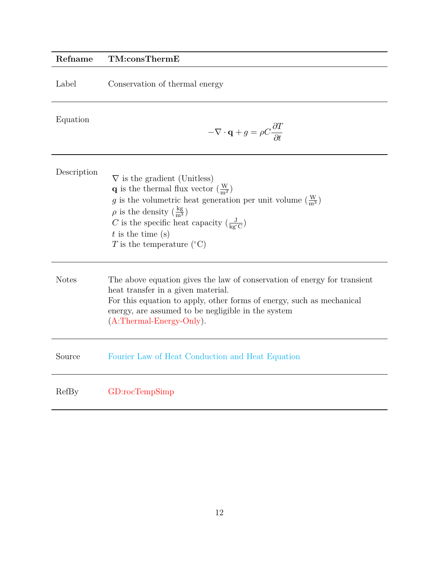<span id="page-11-0"></span>

| Refname      | TM:consThermE                                                                                                                                                                                                                                                                                                                                                                                    |
|--------------|--------------------------------------------------------------------------------------------------------------------------------------------------------------------------------------------------------------------------------------------------------------------------------------------------------------------------------------------------------------------------------------------------|
| Label        | Conservation of thermal energy                                                                                                                                                                                                                                                                                                                                                                   |
| Equation     | $-\nabla \cdot \mathbf{q} + g = \rho C \frac{\partial T}{\partial t}$                                                                                                                                                                                                                                                                                                                            |
| Description  | $\nabla$ is the gradient (Unitless)<br><b>q</b> is the thermal flux vector $\left(\frac{W}{m^2}\right)$<br>g is the volumetric heat generation per unit volume $\left(\frac{W}{m^3}\right)$<br>$\rho$ is the density $\left(\frac{kg}{m^3}\right)$<br>C is the specific heat capacity $\left(\frac{J}{\text{kg}^{\circ}C}\right)$<br>$t$ is the time (s)<br>T is the temperature $({}^{\circ}C)$ |
| <b>Notes</b> | The above equation gives the law of conservation of energy for transient<br>heat transfer in a given material.<br>For this equation to apply, other forms of energy, such as mechanical<br>energy, are assumed to be negligible in the system<br>$(A:Thermal-Energy-Only).$                                                                                                                      |
| Source       | Fourier Law of Heat Conduction and Heat Equation                                                                                                                                                                                                                                                                                                                                                 |
| RefBy        | GD:rocTempSimp                                                                                                                                                                                                                                                                                                                                                                                   |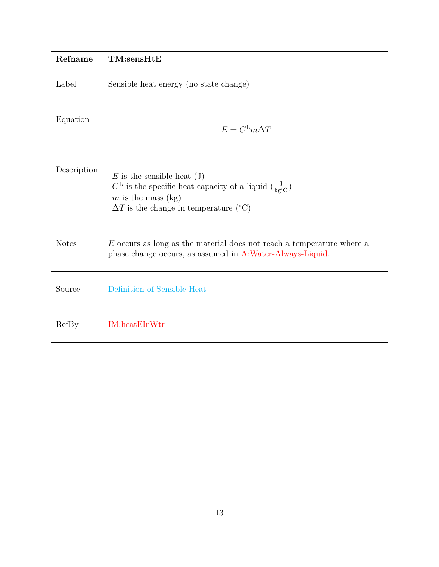<span id="page-12-0"></span>

| Refname      | TM:sensHtE                                                                                                                                                                                                                         |
|--------------|------------------------------------------------------------------------------------------------------------------------------------------------------------------------------------------------------------------------------------|
| Label        | Sensible heat energy (no state change)                                                                                                                                                                                             |
| Equation     | $E = C^{\text{L}}m\Delta T$                                                                                                                                                                                                        |
| Description  | $E$ is the sensible heat (J)<br>$C^{\mathsf{L}}$ is the specific heat capacity of a liquid $\left(\frac{\mathsf{J}}{\mathsf{kg}^{\circ}\mathsf{C}}\right)$<br>m is the mass $(kg)$<br>$\Delta T$ is the change in temperature (°C) |
| <b>Notes</b> | $E$ occurs as long as the material does not reach a temperature where a<br>phase change occurs, as assumed in A:Water-Always-Liquid.                                                                                               |
| Source       | Definition of Sensible Heat                                                                                                                                                                                                        |
| RefBy        | <b>IM:heatEInWtr</b>                                                                                                                                                                                                               |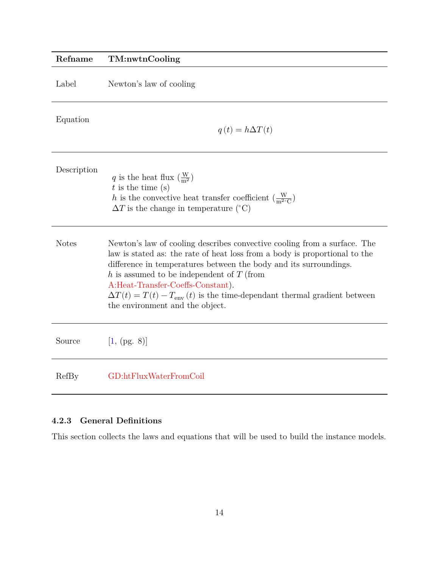<span id="page-13-1"></span>

| Refname      | TM:nwtnCooling                                                                                                                                                                                                                                                                                                                                                                                                                                |
|--------------|-----------------------------------------------------------------------------------------------------------------------------------------------------------------------------------------------------------------------------------------------------------------------------------------------------------------------------------------------------------------------------------------------------------------------------------------------|
| Label        | Newton's law of cooling                                                                                                                                                                                                                                                                                                                                                                                                                       |
| Equation     | $q(t) = h\Delta T(t)$                                                                                                                                                                                                                                                                                                                                                                                                                         |
| Description  | q is the heat flux $\left(\frac{W}{m^2}\right)$<br>$t$ is the time (s)<br>h is the convective heat transfer coefficient $(\frac{W}{m^2 C})$<br>$\Delta T$ is the change in temperature (°C)                                                                                                                                                                                                                                                   |
| <b>Notes</b> | Newton's law of cooling describes convective cooling from a surface. The<br>law is stated as: the rate of heat loss from a body is proportional to the<br>difference in temperatures between the body and its surroundings.<br>h is assumed to be independent of $T$ (from<br>A:Heat-Transfer-Coeffs-Constant).<br>$\Delta T(t) = T(t) - T_{\text{env}}(t)$ is the time-dependant thermal gradient between<br>the environment and the object. |
| Source       | [1, (pg. 8)]                                                                                                                                                                                                                                                                                                                                                                                                                                  |
| RefBy        | GD:htFluxWaterFromCoil                                                                                                                                                                                                                                                                                                                                                                                                                        |

## <span id="page-13-0"></span>**4.2.3 General Definitions**

This section collects the laws and equations that will be used to build the instance models.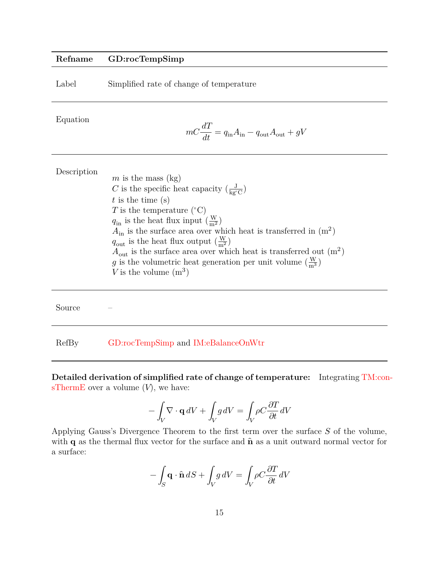### **Refname GD:rocTempSimp**

| Label | Simplified rate of change of temperature |  |  |
|-------|------------------------------------------|--|--|
|       |                                          |  |  |

Equation

<span id="page-14-0"></span>
$$
mC\frac{dT}{dt}=q_{\rm in}A_{\rm in}-q_{\rm out}A_{\rm out}+gV
$$

| Description |                                                                                  |
|-------------|----------------------------------------------------------------------------------|
|             | m is the mass $(kg)$                                                             |
|             | C is the specific heat capacity $\left(\frac{J}{k\sigma^2C}\right)$              |
|             | $t$ is the time (s)                                                              |
|             | T is the temperature $({}^{\circ}C)$                                             |
|             | $q_{\rm in}$ is the heat flux input $\left(\frac{W}{m^2}\right)$                 |
|             | $A_{\rm in}$ is the surface area over which heat is transferred in $(m^2)$       |
|             | $q_{\text{out}}$ is the heat flux output $\left(\frac{W}{m^2}\right)$            |
|             | $A_{\text{out}}$ is the surface area over which heat is transferred out $(m^2)$  |
|             | g is the volumetric heat generation per unit volume $\left(\frac{W}{m^3}\right)$ |
|             | V is the volume $(m^3)$                                                          |
|             |                                                                                  |

Source –

RefBy [GD:rocTempSimp](#page-14-0) and [IM:eBalanceOnWtr](#page-21-0)

**Detailed derivation of simplified rate of change of temperature:** Integrating [TM:con](#page-11-0)[sThermE](#page-11-0) over a volume  $(V)$ , we have:

$$
-\int_V \nabla\cdot \mathbf{q} \, dV + \int_V g \, dV = \int_V \rho C \frac{\partial T}{\partial t} \, dV
$$

Applying Gauss's Divergence Theorem to the first term over the surface  $S$  of the volume, with  $q$  as the thermal flux vector for the surface and  $\hat{n}$  as a unit outward normal vector for a surface:

$$
-\int_{S} \mathbf{q} \cdot \hat{\mathbf{n}} \, dS + \int_{V} g \, dV = \int_{V} \rho C \frac{\partial T}{\partial t} \, dV
$$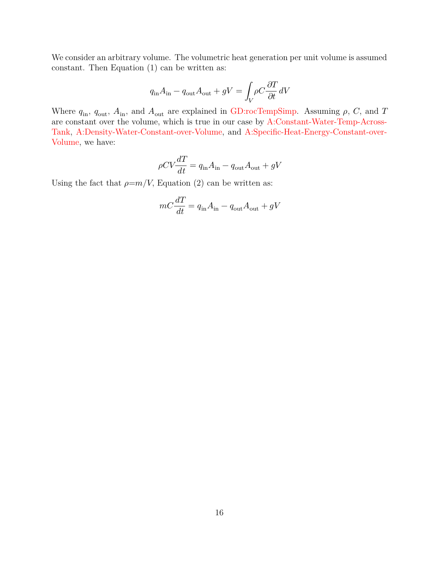We consider an arbitrary volume. The volumetric heat generation per unit volume is assumed constant. Then Equation (1) can be written as:

$$
q_{\rm in} A_{\rm in} - q_{\rm out} A_{\rm out} + gV = \int_V \rho C \frac{\partial T}{\partial t} dV
$$

Where  $q_{\rm in}$ ,  $q_{\rm out}$ ,  $A_{\rm in}$ , and  $A_{\rm out}$  are explained in [GD:rocTempSimp.](#page-14-0) Assuming  $\rho$ ,  $C$ , and  $T$ are constant over the volume, which is true in our case by [A:Constant-Water-Temp-Across-](#page-9-5)[Tank,](#page-9-5) [A:Density-Water-Constant-over-Volume,](#page-9-6) and [A:Specific-Heat-Energy-Constant-over-](#page-9-7)[Volume,](#page-9-7) we have:

$$
\rho CV \frac{dT}{dt} = q_{\rm in} A_{\rm in} - q_{\rm out} A_{\rm out} + gV
$$

Using the fact that  $\rho=m/V$ , Equation (2) can be written as:

$$
mC\frac{dT}{dt} = q_{\rm in}A_{\rm in} - q_{\rm out}A_{\rm out} + gV
$$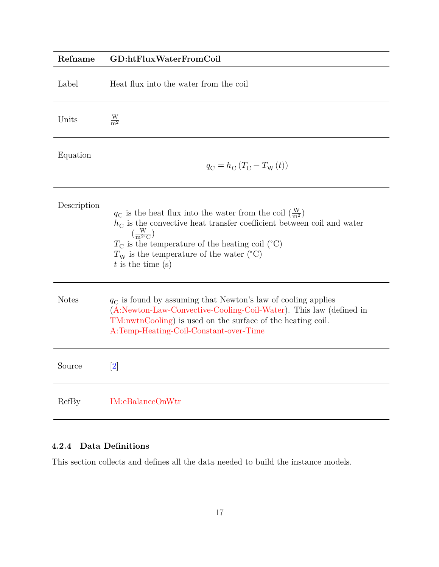# <span id="page-16-1"></span>**Refname GD:htFluxWaterFromCoil** Label Heat flux into the water from the coil Units  $\frac{\text{W}}{\text{m}^2}$ Equation  $q_{\rm C} = h_{\rm C} \left( T_{\rm C} - T_{\rm W} \left( t \right) \right)$ Description  $q_{\rm C}$  is the heat flux into the water from the coil  $(\frac{W}{m^2})$  $h_{\rm C}$  is the convective heat transfer coefficient between coil and water  $\left(\frac{W}{m^{2}}\right)$  $\frac{W}{m^{2\circ}C}$  $T_{\rm C}$  is the temperature of the heating coil (°C)  $T_{\rm W}$  is the temperature of the water (°C)  $t$  is the time  $(s)$ Notes  $q_C$  is found by assuming that Newton's law of cooling applies [\(A:Newton-Law-Convective-Cooling-Coil-Water\)](#page-9-8). This law (defined in [TM:nwtnCooling\)](#page-13-1) is used on the surface of the heating coil. [A:Temp-Heating-Coil-Constant-over-Time](#page-9-9) Source [\[2\]](#page-31-2) RefBy [IM:eBalanceOnWtr](#page-21-0)

### <span id="page-16-0"></span>**4.2.4 Data Definitions**

This section collects and defines all the data needed to build the instance models.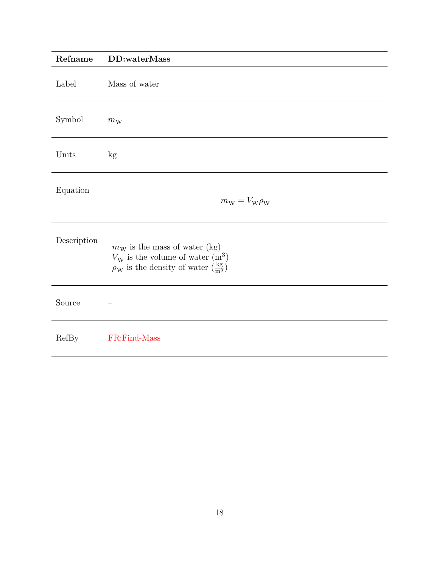<span id="page-17-0"></span>

| Refname      | DD:waterMass                                                                                                                                             |
|--------------|----------------------------------------------------------------------------------------------------------------------------------------------------------|
| Label        | Mass of water                                                                                                                                            |
| Symbol       | $m_{\rm W}$                                                                                                                                              |
| Units        | kg                                                                                                                                                       |
| Equation     | $m_{\rm W} = V_{\rm W} \rho_{\rm W}$                                                                                                                     |
| Description  | $m_W$ is the mass of water (kg)<br>$V_{\rm W}$ is the volume of water $(m^3)$<br>$\rho_{\rm W}$ is the density of water $(\frac{\text{kg}}{\text{m}^3})$ |
| Source       |                                                                                                                                                          |
| <b>RefBy</b> | FR:Find-Mass                                                                                                                                             |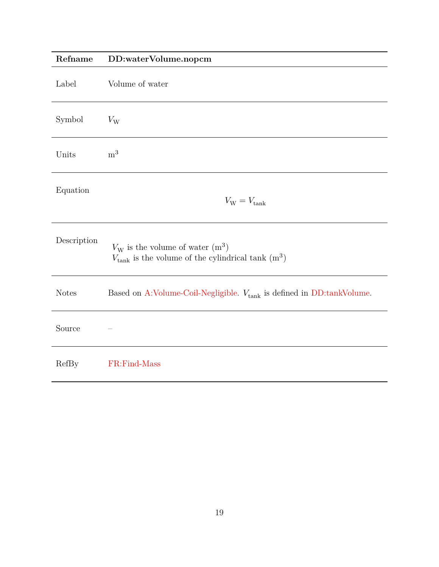<span id="page-18-0"></span>

| Refname      | DD:waterVolume.nopcm                                                                                          |
|--------------|---------------------------------------------------------------------------------------------------------------|
| Label        | Volume of water                                                                                               |
| Symbol       | $V_{\rm W}$                                                                                                   |
| Units        | m <sup>3</sup>                                                                                                |
| Equation     | $V_{\rm W} = V_{\rm tank}$                                                                                    |
| Description  | $V_{\rm W}$ is the volume of water $(m^3)$<br>$V_{\text{tank}}$ is the volume of the cylindrical tank $(m^3)$ |
| <b>Notes</b> | Based on A:Volume-Coil-Negligible. $V_{\rm tank}$ is defined in DD:tankVolume.                                |
| Source       |                                                                                                               |
| RefBy        | FR:Find-Mass                                                                                                  |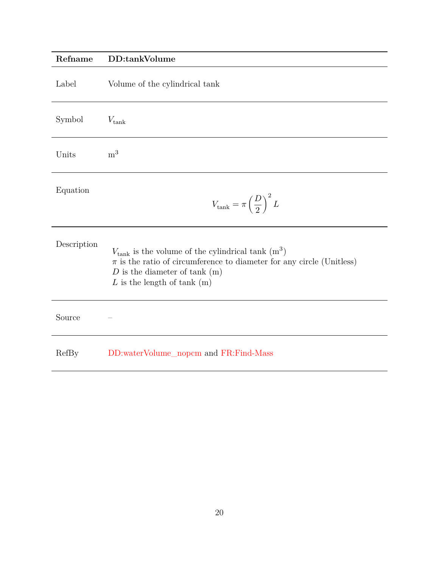## <span id="page-19-0"></span>**Refname DD:tankVolume**

| Label       | Volume of the cylindrical tank                                                                                                                                                                                       |
|-------------|----------------------------------------------------------------------------------------------------------------------------------------------------------------------------------------------------------------------|
| Symbol      | $V_{\rm tank}$                                                                                                                                                                                                       |
| Units       | m <sup>3</sup>                                                                                                                                                                                                       |
| Equation    | $V_{\rm tank} = \pi \left(\frac{D}{2}\right)^2 L$                                                                                                                                                                    |
| Description | $V_{\text{tank}}$ is the volume of the cylindrical tank $(m^3)$<br>$\pi$ is the ratio of circumference to diameter for any circle (Unitless)<br>$D$ is the diameter of tank $(m)$<br>$L$ is the length of tank $(m)$ |
| Source      |                                                                                                                                                                                                                      |
| RefBy       | DD:waterVolume_nopcm and FR:Find-Mass                                                                                                                                                                                |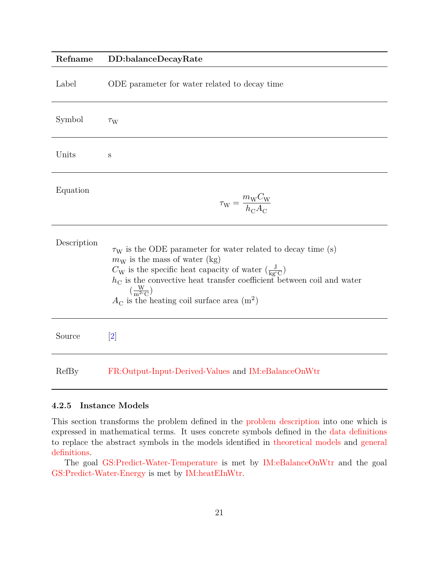#### <span id="page-20-1"></span>**Refname DD:balanceDecayRate**

| Label       | ODE parameter for water related to decay time                                                                                                                                                                                                                                                                                                                                                             |
|-------------|-----------------------------------------------------------------------------------------------------------------------------------------------------------------------------------------------------------------------------------------------------------------------------------------------------------------------------------------------------------------------------------------------------------|
| Symbol      | $\tau_{\rm W}$                                                                                                                                                                                                                                                                                                                                                                                            |
| Units       | S                                                                                                                                                                                                                                                                                                                                                                                                         |
| Equation    | $\tau_{\rm W} = \frac{m_{\rm W} C_{\rm W}}{h_{\rm C} A_{\rm C}}$                                                                                                                                                                                                                                                                                                                                          |
| Description | $\tau_{\rm W}$ is the ODE parameter for water related to decay time (s)<br>$m_W$ is the mass of water (kg)<br>$C_{\rm W}$ is the specific heat capacity of water $\left(\frac{\rm J}{\rm ke^{\circ}C}\right)$<br>$h_{\rm C}$ is the convective heat transfer coefficient between coil and water<br>$\left(\frac{W}{m^{2\circ}C}\right)$<br>$A_{\rm C}$ is the heating coil surface area (m <sup>2</sup> ) |
| Source      | [2]                                                                                                                                                                                                                                                                                                                                                                                                       |
| RefBy       | FR:Output-Input-Derived-Values and IM:eBalanceOnWtr                                                                                                                                                                                                                                                                                                                                                       |

#### <span id="page-20-0"></span>**4.2.5 Instance Models**

This section transforms the problem defined in the [problem description](#page-7-3) into one which is expressed in mathematical terms. It uses concrete symbols defined in the [data definitions](#page-16-0) to replace the abstract symbols in the models identified in [theoretical models](#page-10-0) and [general](#page-13-0) [definitions.](#page-13-0)

The goal [GS:Predict-Water-Temperature](#page-9-10) is met by [IM:eBalanceOnWtr](#page-21-0) and the goal [GS:Predict-Water-Energy](#page-9-11) is met by [IM:heatEInWtr.](#page-23-0)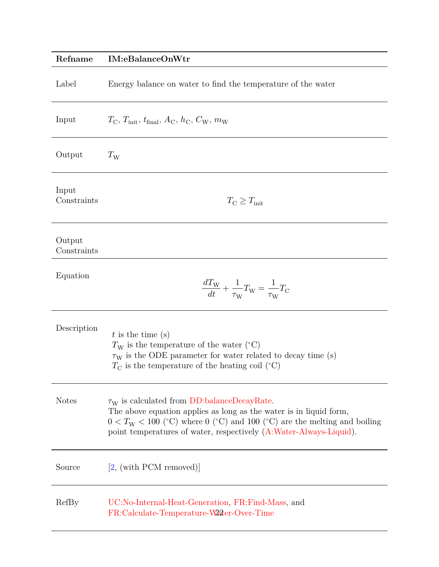<span id="page-21-0"></span>

| Refname               | IM:eBalanceOnWtr                                                                                                                                                                                                                                                                       |
|-----------------------|----------------------------------------------------------------------------------------------------------------------------------------------------------------------------------------------------------------------------------------------------------------------------------------|
| Label                 | Energy balance on water to find the temperature of the water                                                                                                                                                                                                                           |
| Input                 | $T_{\rm C}$ , $T_{\rm init}$ , $t_{\rm final}$ , $A_{\rm C}$ , $h_{\rm C}$ , $C_{\rm W}$ , $m_{\rm W}$                                                                                                                                                                                 |
| Output                | $T_{\rm W}$                                                                                                                                                                                                                                                                            |
| Input<br>Constraints  | $T_{\rm C} \geq T_{\rm init}$                                                                                                                                                                                                                                                          |
| Output<br>Constraints |                                                                                                                                                                                                                                                                                        |
| Equation              | $\frac{dT_{\rm W}}{dt} + \frac{1}{\tau_{\rm W}}T_{\rm W} = \frac{1}{\tau_{\rm W}}T_{\rm C}$                                                                                                                                                                                            |
| Description           | $t$ is the time (s)<br>$T_{\rm W}$ is the temperature of the water (°C)<br>$\tau_{\rm W}$ is the ODE parameter for water related to decay time (s)<br>$T_{\rm C}$ is the temperature of the heating coil (°C)                                                                          |
| <b>Notes</b>          | $\tau_{\rm W}$ is calculated from DD:balanceDecayRate.<br>The above equation applies as long as the water is in liquid form,<br>$0 < T_{\rm W} < 100$ (°C) where 0 (°C) and 100 (°C) are the melting and boiling<br>point temperatures of water, respectively (A:Water-Always-Liquid). |
| Source                | [2, (with PCM removed)]                                                                                                                                                                                                                                                                |
| RefBy                 | UC:No-Internal-Heat-Generation, FR:Find-Mass, and<br>FR:Calculate-Temperature-Water-Over-Time                                                                                                                                                                                          |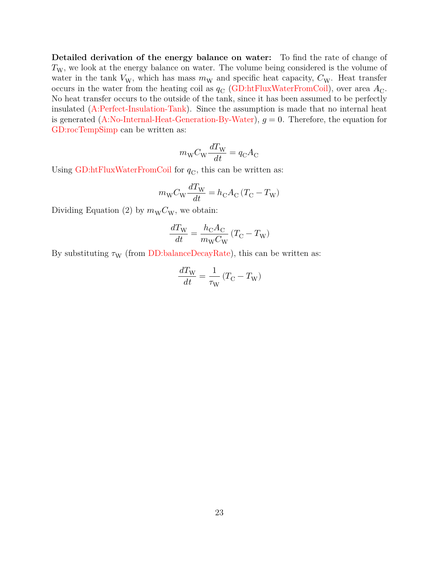**Detailed derivation of the energy balance on water:** To find the rate of change of  $T_{\rm W}$ , we look at the energy balance on water. The volume being considered is the volume of water in the tank  $V_W$ , which has mass  $m_W$  and specific heat capacity,  $C_W$ . Heat transfer occurs in the water from the heating coil as  $q_{\rm C}$  [\(GD:htFluxWaterFromCoil\)](#page-16-1), over area  $A_{\rm C}$ . No heat transfer occurs to the outside of the tank, since it has been assumed to be perfectly insulated [\(A:Perfect-Insulation-Tank\)](#page-10-3). Since the assumption is made that no internal heat is generated  $(A:No-Internal-Heat-Generation-by-Water)$ ,  $g=0$ . Therefore, the equation for [GD:rocTempSimp](#page-14-0) can be written as:

$$
m_{\rm W}C_{\rm W}\frac{dT_{\rm W}}{dt}=q_{\rm C}A_{\rm C}
$$

Using [GD:htFluxWaterFromCoil](#page-16-1) for  $q<sub>C</sub>$ , this can be written as:

$$
m_{\rm W}C_{\rm W}\frac{dT_{\rm W}}{dt}=h_{\rm C}A_{\rm C}\left(T_{\rm C}-T_{\rm W}\right)
$$

Dividing Equation (2) by  $m_{\rm W}C_{\rm W}$ , we obtain:

$$
\frac{dT_{\rm W}}{dt} = \frac{h_{\rm C} A_{\rm C}}{m_{\rm W} C_{\rm W}} \left(T_{\rm C} - T_{\rm W}\right)
$$

By substituting  $\tau_W$  (from [DD:balanceDecayRate\)](#page-20-1), this can be written as:

$$
\frac{dT_{\rm W}}{dt} = \frac{1}{\tau_{\rm W}} \left( T_{\rm C} - T_{\rm W} \right)
$$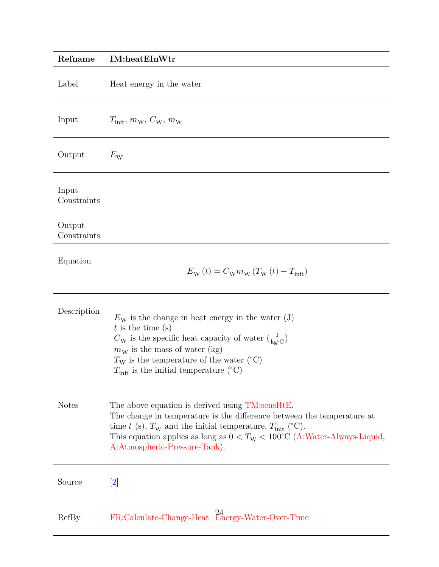<span id="page-23-0"></span>

| Refname               | <b>IM:heatEInWtr</b>                                                                                                                                                                                                                                                                                                            |
|-----------------------|---------------------------------------------------------------------------------------------------------------------------------------------------------------------------------------------------------------------------------------------------------------------------------------------------------------------------------|
| Label                 | Heat energy in the water                                                                                                                                                                                                                                                                                                        |
| Input                 | $T_{\text{init}}, m_{\text{W}}, C_{\text{W}}, m_{\text{W}}$                                                                                                                                                                                                                                                                     |
| Output                | $E_{\rm W}$                                                                                                                                                                                                                                                                                                                     |
| Input<br>Constraints  |                                                                                                                                                                                                                                                                                                                                 |
| Output<br>Constraints |                                                                                                                                                                                                                                                                                                                                 |
| Equation              | $E_{\rm W}(t) = C_{\rm W} m_{\rm W} (T_{\rm W}(t) - T_{\rm init})$                                                                                                                                                                                                                                                              |
| Description           | $E_{\rm W}$ is the change in heat energy in the water (J)<br>$t$ is the time (s)<br>$C_{\rm W}$ is the specific heat capacity of water $\left(\frac{\rm J}{\rm ke^{\circ}C}\right)$<br>$m_W$ is the mass of water (kg)<br>$T_{\rm W}$ is the temperature of the water (°C)<br>$T_{\text{init}}$ is the initial temperature (°C) |
| <b>Notes</b>          | The above equation is derived using TM:sensHtE.<br>The change in temperature is the difference between the temperature at<br>time t (s), $T_W$ and the initial temperature, $T_{\text{init}}$ (°C).<br>This equation applies as long as $0 < TW < 100°C$ (A:Water-Always-Liquid,<br>A:Atmospheric-Pressure-Tank).               |
| Source                | $\left[ 2\right]$                                                                                                                                                                                                                                                                                                               |
| RefBy                 | FR:Calculate-Change-Heat_Energy-Water-Over-Time                                                                                                                                                                                                                                                                                 |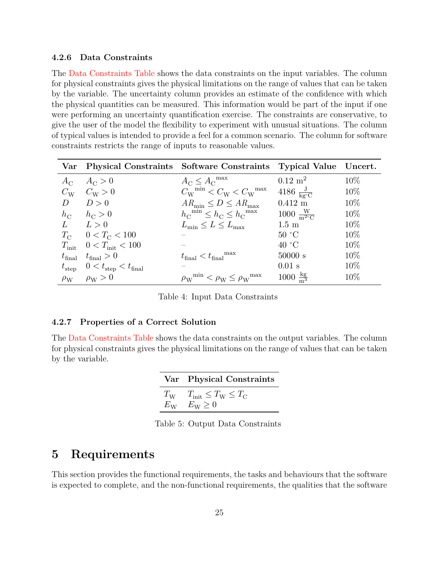#### <span id="page-24-0"></span>**4.2.6 Data Constraints**

The [Data Constraints Table](#page-24-3) shows the data constraints on the input variables. The column for physical constraints gives the physical limitations on the range of values that can be taken by the variable. The uncertainty column provides an estimate of the confidence with which the physical quantities can be measured. This information would be part of the input if one were performing an uncertainty quantification exercise. The constraints are conservative, to give the user of the model the flexibility to experiment with unusual situations. The column of typical values is intended to provide a feel for a common scenario. The column for software constraints restricts the range of inputs to reasonable values.

<span id="page-24-3"></span>

|   |                                                            | Var Physical Constraints Software Constraints Typical Value Uncert.          |                                              |        |
|---|------------------------------------------------------------|------------------------------------------------------------------------------|----------------------------------------------|--------|
|   | $A_{\rm C}$ $A_{\rm C} > 0$                                | $A_{\rm C} \leq A_{\rm C}^{\rm max}$                                         | $0.12 \; \mathrm{m}^2$                       | $10\%$ |
|   | $C_{\rm W}$ $C_{\rm W}$ > 0                                | $C_{\rm W}^{\rm min} < C_{\rm W} < C_{\rm W}^{\rm max}$                      | 4186 $\frac{J}{k\sigma^{\circ}C}$            | $10\%$ |
| D | D>0                                                        | $AR_{\min} \leq D \leq AR_{\max}$                                            | $0.412 \text{ m}$                            | 10\%   |
|   | $h_{\rm C}$ $h_{\rm C} > 0$                                | $h_{\text{C}}^{\text{min}} \leq h_{\text{C}} \leq h_{\text{C}}^{\text{max}}$ | $1000 \frac{\text{W}}{\text{m}^2 \text{°C}}$ | $10\%$ |
|   | $L \t L > 0$                                               | $L_{\min} \le L \le L_{\max}$                                                | $1.5 \text{ m}$                              | $10\%$ |
|   | $T_{\rm C}$ 0 < $T_{\rm C}$ < 100                          |                                                                              | 50 °C                                        | $10\%$ |
|   | $T_{\text{init}}$ 0 < $T_{\text{init}}$ < 100              |                                                                              | 40 °C                                        | $10\%$ |
|   | $t_{\text{final}}$ $t_{\text{final}} > 0$                  | $t_{\text{final}} < t_{\text{final}}^{\text{max}}$                           | 50000 s                                      | $10\%$ |
|   | $t_{\text{step}}$ $0 < t_{\text{step}} < t_{\text{final}}$ |                                                                              | $0.01$ s                                     | $10\%$ |
|   | $\rho_{\rm W}$ $\rho_{\rm W} > 0$                          | $\rho_{\rm W}^{\rm min} < \rho_{\rm W} \leq \rho_{\rm W}^{\rm max}$          | $1000 \frac{\text{kg}}{\text{m}^3}$          | $10\%$ |

Table 4: Input Data Constraints

#### <span id="page-24-1"></span>**4.2.7 Properties of a Correct Solution**

<span id="page-24-4"></span>The [Data Constraints Table](#page-24-4) shows the data constraints on the output variables. The column for physical constraints gives the physical limitations on the range of values that can be taken by the variable.

| Var Physical Constraints                                                                   |
|--------------------------------------------------------------------------------------------|
| $T_{\rm W}$ $T_{\rm init} \leq T_{\rm W} \leq T_{\rm C}$<br>$E_{\rm W}$ $E_{\rm W} \geq 0$ |

Table 5: Output Data Constraints

# <span id="page-24-2"></span>**5 Requirements**

This section provides the functional requirements, the tasks and behaviours that the software is expected to complete, and the non-functional requirements, the qualities that the software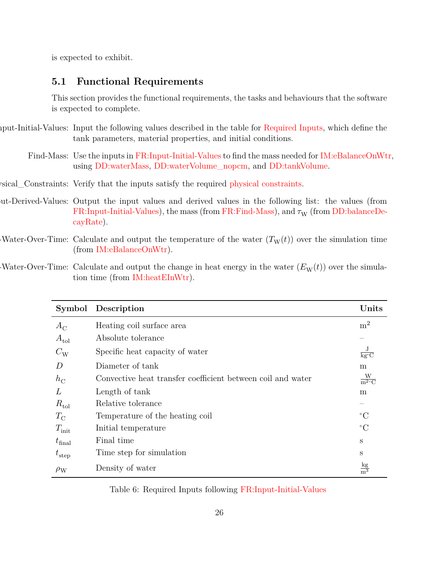is expected to exhibit.

### <span id="page-25-0"></span>**5.1 Functional Requirements**

<span id="page-25-6"></span>This section provides the functional requirements, the tasks and behaviours that the software is expected to complete.

iput-Initial-Values: Input the following values described in the table for [Required Inputs,](#page-25-5) which define the tank parameters, material properties, and initial conditions.

<span id="page-25-7"></span><span id="page-25-2"></span><span id="page-25-1"></span>Find-Mass: Use the inputs in [FR:Input-Initial-Values](#page-25-6) to find the mass needed for [IM:eBalanceOnWtr,](#page-21-0) using [DD:waterMass,](#page-17-0) [DD:waterVolume\\_nopcm,](#page-18-0) and [DD:tankVolume.](#page-19-0)

- sical\_Constraints: Verify that the inputs satisfy the required [physical constraints.](#page-24-0)
- ut-Derived-Values: Output the input values and derived values in the following list: the values (from [FR:Input-Initial-Values\)](#page-25-6), the mass (from [FR:Find-Mass\)](#page-25-1), and  $\tau_{\rm W}$  (from [DD:balanceDe](#page-20-1)[cayRate\)](#page-20-1).
- <span id="page-25-3"></span>Water-Over-Time: Calculate and output the temperature of the water  $(T_{W}(t))$  over the simulation time (from [IM:eBalanceOnWtr\)](#page-21-0).
- Water-Over-Time: Calculate and output the change in heat energy in the water  $(E_W(t))$  over the simulation time (from [IM:heatEInWtr\)](#page-23-0).

<span id="page-25-5"></span><span id="page-25-4"></span>

|                    | Symbol Description                                          | Units                                        |
|--------------------|-------------------------------------------------------------|----------------------------------------------|
| $A_{\rm C}$        | Heating coil surface area                                   | m <sup>2</sup>                               |
| $A_{\text{tol}}$   | Absolute tolerance                                          |                                              |
| $C_{\rm W}$        | Specific heat capacity of water                             | $\frac{\text{J}}{\text{kg}^{\circ}\text{C}}$ |
| D                  | Diameter of tank                                            | m                                            |
| $h_{\rm C}$        | Convective heat transfer coefficient between coil and water | $\frac{W}{m^2 C}$                            |
| L                  | Length of tank                                              | m                                            |
| $R_{\rm tol}$      | Relative tolerance                                          |                                              |
| $T_{\rm C}$        | Temperature of the heating coil                             | $^{\circ}C$                                  |
| $T_{\rm init}$     | Initial temperature                                         | $^{\circ}C$                                  |
| $t_{\text{final}}$ | Final time                                                  | S                                            |
| $t_{\rm step}$     | Time step for simulation                                    | S                                            |
| $\rho_{\rm W}$     | Density of water                                            | $rac{\text{kg}}{\text{m}^3}$                 |

Table 6: Required Inputs following [FR:Input-Initial-Values](#page-25-6)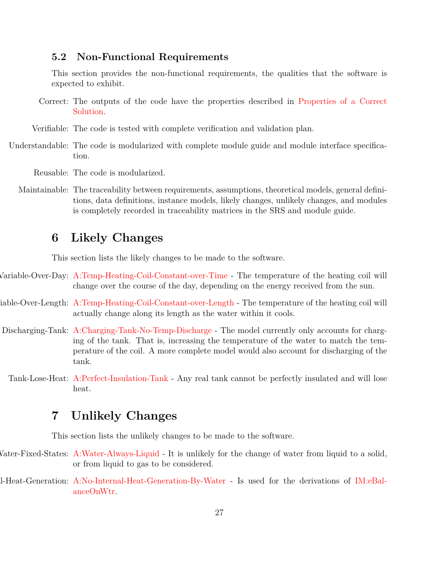### <span id="page-26-0"></span>**5.2 Non-Functional Requirements**

<span id="page-26-9"></span>This section provides the non-functional requirements, the qualities that the software is expected to exhibit.

- Correct: The outputs of the code have the properties described in [Properties of a Correct](#page-24-1) [Solution.](#page-24-1)
- <span id="page-26-11"></span><span id="page-26-10"></span>Verifiable: The code is tested with complete verification and validation plan.
- Understandable: The code is modularized with complete module guide and module interface specification.

<span id="page-26-13"></span><span id="page-26-12"></span>Reusable: The code is modularized.

Maintainable: The traceability between requirements, assumptions, theoretical models, general definitions, data definitions, instance models, likely changes, unlikely changes, and modules is completely recorded in traceability matrices in the SRS and module guide.

## <span id="page-26-1"></span>**6 Likely Changes**

<span id="page-26-4"></span><span id="page-26-3"></span>This section lists the likely changes to be made to the software.

- Variable-Over-Day: [A:Temp-Heating-Coil-Constant-over-Time](#page-9-9) The temperature of the heating coil will change over the course of the day, depending on the energy received from the sun.
- iable-Over-Length: [A:Temp-Heating-Coil-Constant-over-Length](#page-9-12) The temperature of the heating coil will actually change along its length as the water within it cools.
- <span id="page-26-5"></span>Discharging-Tank: [A:Charging-Tank-No-Temp-Discharge](#page-10-6) - The model currently only accounts for charging of the tank. That is, increasing the temperature of the water to match the temperature of the coil. A more complete model would also account for discharging of the tank.
	- Tank-Lose-Heat: [A:Perfect-Insulation-Tank](#page-10-3) Any real tank cannot be perfectly insulated and will lose heat.

# <span id="page-26-7"></span><span id="page-26-2"></span>**7 Unlikely Changes**

<span id="page-26-8"></span><span id="page-26-6"></span>This section lists the unlikely changes to be made to the software.

- Water-Fixed-States: [A:Water-Always-Liquid](#page-10-1) It is unlikely for the change of water from liquid to a solid, or from liquid to gas to be considered.
- No-Internal-Heat-Generation: [A:No-Internal-Heat-Generation-By-Water](#page-10-4) Is used for the derivations of [IM:eBal](#page-21-0)[anceOnWtr.](#page-21-0)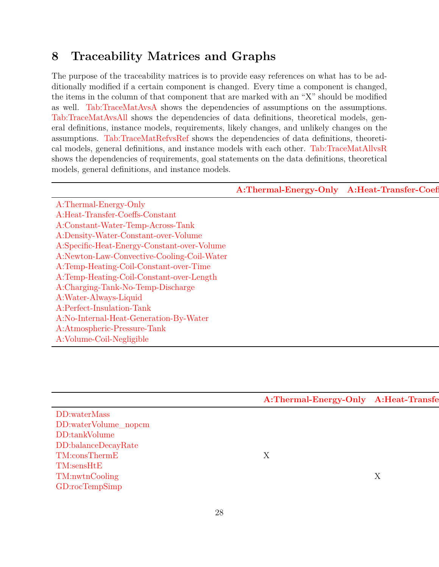# <span id="page-27-0"></span>**8 Traceability Matrices and Graphs**

The purpose of the traceability matrices is to provide easy references on what has to be additionally modified if a certain component is changed. Every time a component is changed, the items in the column of that component that are marked with an "X" should be modified as well. [Tab:TraceMatAvsA](#page-27-1) shows the dependencies of assumptions on the assumptions. [Tab:TraceMatAvsAll](#page-27-2) shows the dependencies of data definitions, theoretical models, general definitions, instance models, requirements, likely changes, and unlikely changes on the assumptions. [Tab:TraceMatRefvsRef](#page-28-0) shows the dependencies of data definitions, theoretical models, general definitions, and instance models with each other. [Tab:TraceMatAllvsR](#page-28-1) shows the dependencies of requirements, goal statements on the data definitions, theoretical models, general definitions, and instance models.

<span id="page-27-1"></span>

|                                                                               | A:Thermal-Energy-Only A:Heat-Transfer-Coef |
|-------------------------------------------------------------------------------|--------------------------------------------|
| A:Thermal-Energy-Only                                                         |                                            |
| $\operatorname{A:Heat-Transfer-Coeffs-Constant}$                              |                                            |
| A:Constant-Water-Temp-Across-Tank                                             |                                            |
| A:Density-Water-Constant-over-Volume                                          |                                            |
| A:Specific-Heat-Energy-Constant-over-Volume                                   |                                            |
| A:Newton-Law-Convective-Cooling-Coil-Water                                    |                                            |
| A:Temp-Heating-Coil-Constant-over-Time                                        |                                            |
|                                                                               |                                            |
| A:Temp-Heating-Coil-Constant-over-Length<br>A:Charging-Tank-No-Temp-Discharge |                                            |
| A:Water-Always-Liquid                                                         |                                            |
| A:Perfect-Insulation-Tank                                                     |                                            |
| A:No-Internal-Heat-Generation-By-Water                                        |                                            |
|                                                                               |                                            |
| A:Atmospheric-Pressure-Tank<br>A:Volume-Coil-Negligible                       |                                            |
|                                                                               |                                            |

<span id="page-27-2"></span>

|                                                                                                                                                 | Thermal-Energy-Only A:Heat-Transfe |
|-------------------------------------------------------------------------------------------------------------------------------------------------|------------------------------------|
| DD:waterMass                                                                                                                                    |                                    |
| DD:waterMass<br>DD:waterVolume_nopcm<br>DD:tankVolume<br>DD:balanceDecayRate<br>TM:consThermE<br>TM:sensHtE<br>TM:nwtnCooling<br>GD:rocTempSimp |                                    |
|                                                                                                                                                 |                                    |
|                                                                                                                                                 |                                    |
|                                                                                                                                                 |                                    |
|                                                                                                                                                 |                                    |
|                                                                                                                                                 |                                    |
|                                                                                                                                                 |                                    |
|                                                                                                                                                 |                                    |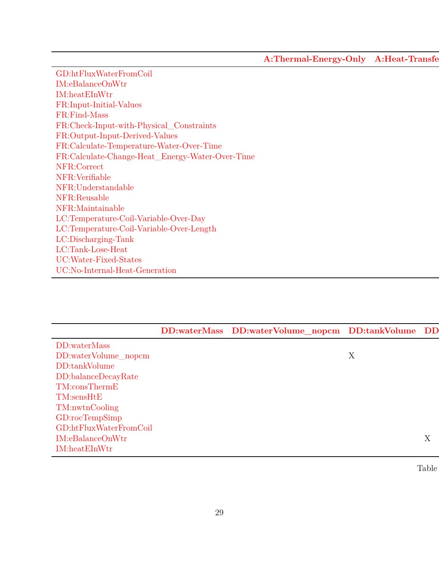[A:Thermal-Energy-Only](#page-9-3) A:Heat-Transfe

| $\operatorname{GD:htFluxWaterFromCoil}$<br>$\begin{array}{ll} \rm IM: eBalanceOn Wtr \\ \rm IM: heatEIn Wtr \\ \rm FR: Input-Initial-Values \end{array}$ |
|----------------------------------------------------------------------------------------------------------------------------------------------------------|
|                                                                                                                                                          |
|                                                                                                                                                          |
|                                                                                                                                                          |
| FR:Find-Mass<br>FR:Check-Input-with-Physical_Constraints                                                                                                 |
|                                                                                                                                                          |
| FR:Output-Input-Derived-Values                                                                                                                           |
|                                                                                                                                                          |
| FR:Calculate-Temperature-Water-Over-Time<br>FR:Calculate-Change-Heat_Energy-Water-Over-Time                                                              |
|                                                                                                                                                          |
|                                                                                                                                                          |
|                                                                                                                                                          |
| NFR:Verifiable<br>NFR:Verifiable<br>NFR:Meusable<br>NFR:Maintainable                                                                                     |
|                                                                                                                                                          |
|                                                                                                                                                          |
|                                                                                                                                                          |
|                                                                                                                                                          |
| LC:Temperature-Coil-Variable-Over-Day<br>LC:Temperature-Coil-Variable-Over-Length<br>LC:Discharging-Tank<br>LC:Tank-Lose-Heat                            |
| $UC: Water\text{-}Fixed\text{-States}$                                                                                                                   |
| UC:No-Internal-Heat-Generation                                                                                                                           |

<span id="page-28-1"></span><span id="page-28-0"></span>

|                                 | DD:waterMass DD:waterVolume_nopcm DD:tankVolume DD |                    |
|---------------------------------|----------------------------------------------------|--------------------|
| DD:waterMass                    |                                                    |                    |
| DD:waterVolume_nopcm            |                                                    |                    |
| DD:tankVolume                   |                                                    |                    |
| $DD:$ balance $DecayRate$       |                                                    |                    |
| $TM: \text{cons} \text{ThermE}$ |                                                    |                    |
| TM: sensHtE                     |                                                    |                    |
| TM:nwtnCooling                  |                                                    |                    |
| GD:rocTempSimp                  |                                                    |                    |
| GD:htFluxWaterFromCoil          |                                                    |                    |
| IM: eBalanceOnWtr               |                                                    | $\tau$<br>$\Delta$ |
| IM:heatEInWtr                   |                                                    |                    |

Table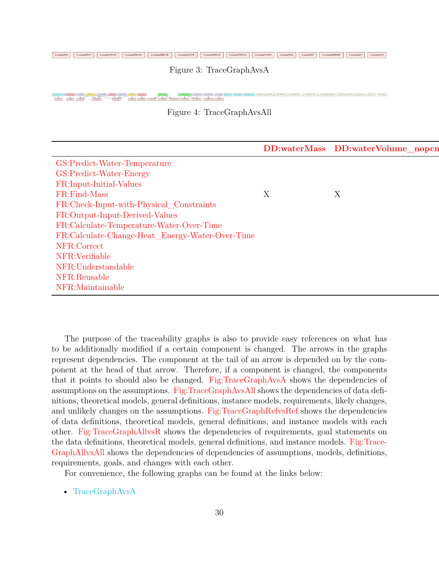<span id="page-29-0"></span> $\begin{tabular}{l|c|c|c|c|c|c} \multicolumn{3}{c}{A:}\textit{as} \textit{compBWCM} & A: \textit{as} \textit{ampBWCM} & A: \textit{as} \textit{ampBHECW} & A: \textit{as} \textit{ampBHECBW} & A: \textit{as} \textit{ampBHECBW} & A: \textit{as} \textit{ampBHECBW} & A: \textit{as} \textit{ampBHECBW} & A: \textit{as} \textit{ampBHECBW} & A: \textit{as} \textit{ampBHECBW} & A: \textit{as} \textit{ampBHECBW} & A: \text$ 

Figure 3: TraceGraphAvsA

<span id="page-29-1"></span>

| TTT <del>TTTTT</del> T                                                                                                                                                                                                                       |                                   |  |  |  |
|----------------------------------------------------------------------------------------------------------------------------------------------------------------------------------------------------------------------------------------------|-----------------------------------|--|--|--|
| Figure 4: TraceGraphAvsAll                                                                                                                                                                                                                   |                                   |  |  |  |
|                                                                                                                                                                                                                                              |                                   |  |  |  |
|                                                                                                                                                                                                                                              |                                   |  |  |  |
|                                                                                                                                                                                                                                              | DD:waterMass DD:waterVolume_nopcn |  |  |  |
| GS:Predict-Water-Temperature<br>GS:Predict-Water-Energy<br>FR:Input-Initial-Values<br>FR:Find-Mass<br>FR:Check-Input-with-Physical_Constraints<br>FR:Check-Input-Derived-Values<br>FR:Calculate-Temperature-Water-Over-Time<br>FR:Calculate- |                                   |  |  |  |
|                                                                                                                                                                                                                                              |                                   |  |  |  |
|                                                                                                                                                                                                                                              |                                   |  |  |  |
|                                                                                                                                                                                                                                              |                                   |  |  |  |
|                                                                                                                                                                                                                                              |                                   |  |  |  |
|                                                                                                                                                                                                                                              |                                   |  |  |  |
|                                                                                                                                                                                                                                              |                                   |  |  |  |
|                                                                                                                                                                                                                                              |                                   |  |  |  |
|                                                                                                                                                                                                                                              |                                   |  |  |  |
|                                                                                                                                                                                                                                              |                                   |  |  |  |
|                                                                                                                                                                                                                                              |                                   |  |  |  |
|                                                                                                                                                                                                                                              |                                   |  |  |  |
|                                                                                                                                                                                                                                              |                                   |  |  |  |
| and the contract of the contract of the                                                                                                                                                                                                      |                                   |  |  |  |

The purpose of the traceability graphs is also to provide easy references on what has to be additionally modified if a certain component is changed. The arrows in the graphs represent dependencies. The component at the tail of an arrow is depended on by the component at the head of that arrow. Therefore, if a component is changed, the components that it points to should also be changed. [Fig:TraceGraphAvsA](#page-29-0) shows the dependencies of assumptions on the assumptions. [Fig:TraceGraphAvsAll](#page-29-1) shows the dependencies of data definitions, theoretical models, general definitions, instance models, requirements, likely changes, and unlikely changes on the assumptions. [Fig:TraceGraphRefvsRef](#page-30-1) shows the dependencies of data definitions, theoretical models, general definitions, and instance models with each other. [Fig:TraceGraphAllvsR](#page-30-2) shows the dependencies of requirements, goal statements on the data definitions, theoretical models, general definitions, and instance models. [Fig:Trace-](#page-30-3)[GraphAllvsAll](#page-30-3) shows the dependencies of dependencies of assumptions, models, definitions, requirements, goals, and changes with each other.

For convenience, the following graphs can be found at the links below:

• [TraceGraphAvsA](../../../../traceygraphs/nopcm/avsa.svg)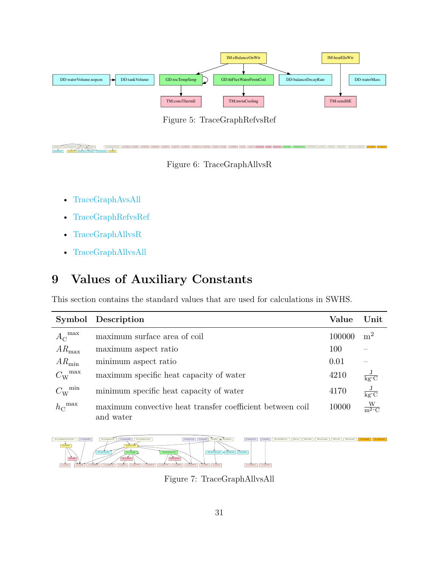<span id="page-30-1"></span>

Figure 5: TraceGraphRefvsRef

<span id="page-30-2"></span>FR:findMass DD:waterMass DD:waterMass DD:waterMass DD:waterWilder.nopen.nopen.nopen.nopen.nopen.nopen.nopen.no<br>Contractor Documentary DD:waterMass DD:waterMass DD:waterMass DD:waterMass DD:waterMass DD:waterMass DD:water IM:heatEInWtr



Awaylitti Lawaylitti Lawaylitti Lawaylitti Awaylitti Lawaylitti Lawaylitti Lawaylitti Lawaylitti Lawaylitti Lawaylitti Lawaylitti Lawaylitti Lawaylitti Lawaylitti Lawaylitti Lawaylitti Lawaylitti Lawaylitti Lawaylitti Lawa

- [TraceGraphAvsAll](../../../../traceygraphs/nopcm/avsall.svg)
- [TraceGraphRefvsRef](../../../../traceygraphs/nopcm/refvsref.svg)
- [TraceGraphAllvsR](../../../../traceygraphs/nopcm/allvsr.svg)
- [TraceGraphAllvsAll](../../../../traceygraphs/nopcm/allvsall.svg)

# <span id="page-30-0"></span>**9 Values of Auxiliary Constants**

This section contains the standard values that are used for calculations in SWHS.

|                          | Symbol Description                                                     | Value  | $\bold{Unit}$                                |
|--------------------------|------------------------------------------------------------------------|--------|----------------------------------------------|
| ${A_{\rm C}}^{\rm max}$  | maximum surface area of coil                                           | 100000 | m <sup>2</sup>                               |
| $AR_{\text{max}}$        | maximum aspect ratio                                                   | 100    |                                              |
| $AR_{\text{min}}$        | minimum aspect ratio                                                   | 0.01   |                                              |
| $C_{\rm W}^{\rm max}$    | maximum specific heat capacity of water                                | 4210   | $\frac{J}{kg^{\circ}C}$                      |
| $C_{\rm W}^{\rm \; min}$ | minimum specific heat capacity of water                                | 4170   | $\frac{\text{J}}{\text{kg}^{\circ}\text{C}}$ |
| $h_{\rm C}^{\rm max}$    | maximum convective heat transfer coefficient between coil<br>and water | 10000  | $\frac{W}{m^2(C)}$                           |

<span id="page-30-3"></span>

Figure 7: TraceGraphAllvsAll